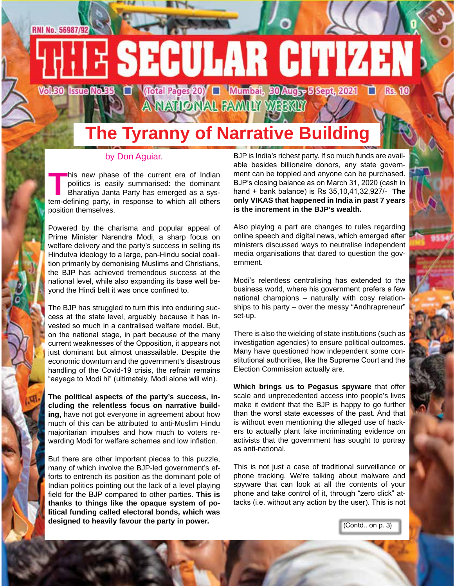#### **RNI No. 56987/92**

# **SECULAR CITIZEN** Vol.50 Issue Mo.55 | Carl Coral Pages 20) | Mumbat, 30 Augh-5 Sept, 2021 | C Rs. 10

A NATIONAL FAMILY WEEKLY

# **The Tyranny of Narrative Building**

#### by Don Aguiar.

**This new phase of the current era of Indian politics is easily summarised: the dominant Bharatiya Janta Party has emerged as a system-defining party, in response to which all others** politics is easily summarised: the dominant Bharatiya Janta Party has emerged as a system-defining party, in response to which all others position themselves.

Powered by the charisma and popular appeal of Prime Minister Narendra Modi, a sharp focus on welfare delivery and the party's success in selling its Hindutva ideology to a large, pan-Hindu social coalition primarily by demonising Muslims and Christians, the BJP has achieved tremendous success at the national level, while also expanding its base well beyond the Hindi belt it was once confined to.

The BJP has struggled to turn this into enduring success at the state level, arguably because it has invested so much in a centralised welfare model. But, on the national stage, in part because of the many current weaknesses of the Opposition, it appears not just dominant but almost unassailable. Despite the economic downturn and the government's disastrous handling of the Covid-19 crisis, the refrain remains "aayega to Modi hi" (ultimately, Modi alone will win).

**The political aspects of the party's success, including the relentless focus on narrative building,** have not got everyone in agreement about how much of this can be attributed to anti-Muslim Hindu majoritarian impulses and how much to voters rewarding Modi for welfare schemes and low inflation.

But there are other important pieces to this puzzle, many of which involve the BJP-led government's efforts to entrench its position as the dominant pole of Indian politics pointing out the lack of a level playing field for the BJP compared to other parties. **This is thanks to things like the opaque system of political funding called electoral bonds, which was designed to heavily favour the party in power.**

BJP is India's richest party. If so much funds are available besides billionaire donors, any state government can be toppled and anyone can be purchased. BJP's closing balance as on March 31, 2020 (cash in hand + bank balance) is Rs 35,10,41,32,927/- **The only VIKAS that happened in India in past 7 years is the increment in the BJP's wealth.**

Also playing a part are changes to rules regarding online speech and digital news, which emerged after ministers discussed ways to neutralise independent media organisations that dared to question the government.

Modi's relentless centralising has extended to the business world, where his government prefers a few national champions – naturally with cosy relationships to his party – over the messy "Andhrapreneur" set-up.

There is also the wielding of state institutions (such as investigation agencies) to ensure political outcomes. Many have questioned how independent some constitutional authorities, like the Supreme Court and the Election Commission actually are.

**Which brings us to Pegasus spyware** that offer scale and unprecedented access into people's lives make it evident that the BJP is happy to go further than the worst state excesses of the past. And that is without even mentioning the alleged use of hackers to actually plant fake incriminating evidence on activists that the government has sought to portray as anti-national.

This is not just a case of traditional surveillance or phone tracking. We're talking about malware and spyware that can look at all the contents of your phone and take control of it, through "zero click" attacks (i.e. without any action by the user). This is not

(Contd.. on p. 3)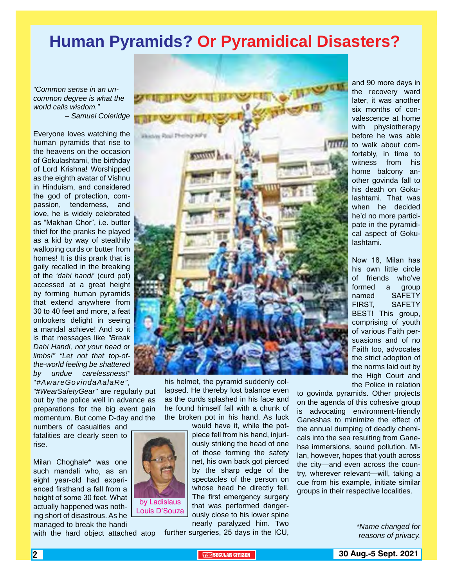### **Human Pyramids? Or Pyramidical Disasters?**

*"Common sense in an uncommon degree is what the world calls wisdom." – Samuel Coleridge*

Everyone loves watching the human pyramids that rise to the heavens on the occasion of Gokulashtami, the birthday of Lord Krishna! Worshipped as the eighth avatar of Vishnu in Hinduism, and considered the god of protection, compassion, tenderness, and love, he is widely celebrated as "Makhan Chor", i.e. butter thief for the pranks he played as a kid by way of stealthily walloping curds or butter from homes! It is this prank that is gaily recalled in the breaking of the *'dahi handi'* (curd pot) accessed at a great height by forming human pyramids that extend anywhere from 30 to 40 feet and more, a feat onlookers delight in seeing a mandal achieve! And so it is that messages like *"Break Dahi Handi, not your head or limbs!" "Let not that top-ofthe-world feeling be shattered by undue carelessness!" "#AwareGovindaAalaRe",* 

*"#WearSafetyGear"* are regularly put out by the police well in advance as preparations for the big event gain momentum. But come D-day and the

numbers of casualties and fatalities are clearly seen to rise.

Milan Choghale\* was one such mandali who, as an eight year-old had experienced firsthand a fall from a height of some 30 feet. What actually happened was nothing short of disastrous. As he managed to break the handi

with the hard object attached atop



his helmet, the pyramid suddenly collapsed. He thereby lost balance even as the curds splashed in his face and he found himself fall with a chunk of the broken pot in his hand. As luck

> would have it, while the potpiece fell from his hand, injuriously striking the head of one of those forming the safety net, his own back got pierced by the sharp edge of the spectacles of the person on whose head he directly fell. The first emergency surgery that was performed dangerously close to his lower spine nearly paralyzed him. Two

further surgeries, 25 days in the ICU,

and 90 more days in the recovery ward later, it was another six months of convalescence at home with physiotherapy before he was able to walk about comfortably, in time to witness from his home balcony another govinda fall to his death on Gokulashtami. That was when he decided he'd no more participate in the pyramidical aspect of Gokulashtami.

Now 18, Milan has his own little circle of friends who've formed a group named SAFETY FIRST, SAFETY BEST! This group, comprising of youth of various Faith persuasions and of no Faith too, advocates the strict adoption of the norms laid out by the High Court and the Police in relation

to govinda pyramids. Other projects on the agenda of this cohesive group is advocating environment-friendly Ganeshas to minimize the effect of the annual dumping of deadly chemicals into the sea resulting from Ganehsa immersions, sound pollution. Milan, however, hopes that youth across the city—and even across the country, wherever relevant—will, taking a cue from his example, initiate similar groups in their respective localities.

> *\*Name changed for reasons of privacy.*

by Ladislaus Louis D'Souza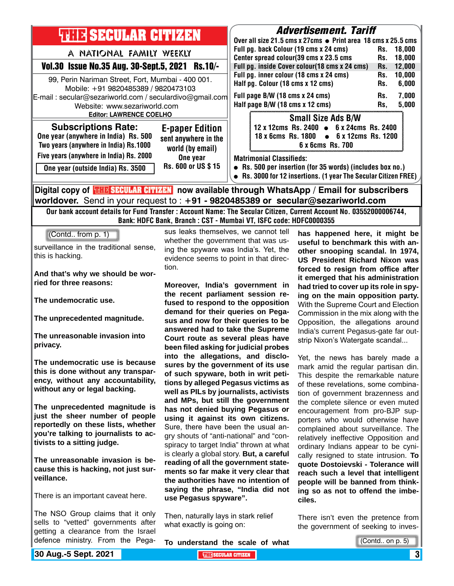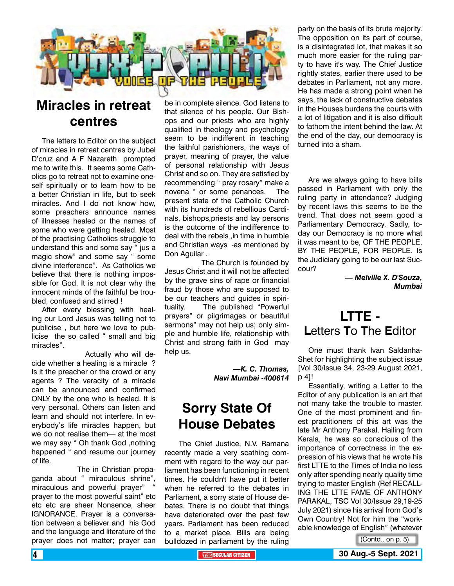

### **Miracles in retreat centres**

The letters to Editor on the subject of miracles in retreat centres by Jubel D'cruz and A F Nazareth prompted me to write this. It seems some Catholics go to retreat not to examine oneself spiritually or to learn how to be a better Christian in life, but to seek miracles. And I do not know how, some preachers announce names of illnesses healed or the names of some who were getting healed. Most of the practising Catholics struggle to understand this and some say " jus a magic show" and some say " some divine interference". As Catholics we believe that there is nothing impossible for God. It is not clear why the innocent minds of the faithful be troubled, confused and stirred !

After every blessing with healing our Lord Jesus was telling not to publicise , but here we love to publicise the so called " small and big miracles".

 Actually who will decide whether a healing is a miracle ? Is it the preacher or the crowd or any agents ? The veracity of a miracle can be announced and confirmed ONLY by the one who is healed. It is very personal. Others can listen and learn and should not interfere. In everybody's life miracles happen, but we do not realise them— at the most we may say " Oh thank God ,nothing happened " and resume our journey of life.

 The in Christian propaganda about " miraculous shrine", miraculous and powerful prayer" prayer to the most powerful saint" etc etc etc are sheer Nonsence, sheer IGNORANCE. Prayer is a conversation between a believer and his God and the language and literature of the prayer does not matter; prayer can

be in complete silence. God listens to that silence of his people. Our Bishops and our priests who are highly qualified in theology and psychology seem to be indifferent in teaching the faithful parishioners, the ways of prayer, meaning of prayer, the value of personal relationship with Jesus Christ and so on. They are satisfied by recommending " pray rosary" make a novena " or some penances. The present state of the Catholic Church with its hundreds of rebellious Cardinals, bishops,priests and lay persons is the outcome of the indifference to deal with the rebels ,in time in humble and Christian ways -as mentioned by Don Aguilar .

 The Church is founded by Jesus Christ and it will not be affected by the grave sins of rape or financial fraud by those who are supposed to be our teachers and guides in spirituality. The published "Powerful prayers" or pilgrimages or beautiful sermons" may not help us; only simple and humble life, relationship with Christ and strong faith in God may help us.

> *—K. C. Thomas, Navi Mumbai -400614*

### **Sorry State Of House Debates**

 The Chief Justice, N.V. Ramana recently made a very scathing comment with regard to the way our parliament has been functioning in recent times. He couldn't have put it better when he referred to the debates in Parliament, a sorry state of House debates. There is no doubt that things have deteriorated over the past few years. Parliament has been reduced to a market place. Bills are being bulldozed in parliament by the ruling

party on the basis of its brute majority. The opposition on its part of course, is a disintegrated lot, that makes it so much more easier for the ruling party to have it's way. The Chief Justice rightly states, earlier there used to be debates in Parliament, not any more. He has made a strong point when he says, the lack of constructive debates in the Houses burdens the courts with a lot of litigation and it is also difficult to fathom the intent behind the law. At the end of the day, our democracy is turned into a sham.

Are we always going to have bills passed in Parliament with only the ruling party in attendance? Judging by recent laws this seems to be the trend. That does not seem good a Parliamentary Democracy. Sadly, today our Democracy is no more what it was meant to be, OF THE PEOPLE, BY THE PEOPLE, FOR PEOPLE. Is the Judiciary going to be our last Succour?

> *— Melville X. D'Souza, Mumbai*

### **LTTE - L**etters **T**o **T**he **E**ditor

One must thank Ivan Saldanha-Shet for highlighting the subject issue [Vol 30/Issue 34, 23-29 August 2021, p 4]!

Essentially, writing a Letter to the Editor of any publication is an art that not many take the trouble to master. One of the most prominent and finest practitioners of this art was the late Mr Anthony Parakal. Hailing from Kerala, he was so conscious of the importance of correctness in the expression of his views that he wrote his first LTTE to the Times of India no less only after spending nearly quality time trying to master English (Ref RECALL-ING THE LTTE FAME OF ANTHONY PARAKAL, TSC Vol 30/Issue 29,19-25 July 2021) since his arrival from God's Own Country! Not for him the "workable knowledge of English" (whatever

(Contd.. on p. 5)

**4 THE SECULAR CITIZEN 30 Aug.-5 Sept. 2021**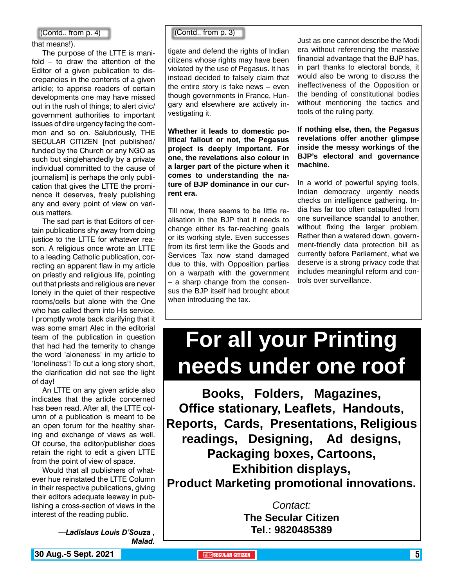that means!).

The purpose of the LTTE is manifold – to draw the attention of the Editor of a given publication to discrepancies in the contents of a given article; to apprise readers of certain developments one may have missed out in the rush of things; to alert civic/ government authorities to important issues of dire urgency facing the common and so on. Salubriously, THE SECULAR CITIZEN [not published/ funded by the Church or any NGO as such but singlehandedly by a private individual committed to the cause of journalism] is perhaps the only publication that gives the LTTE the prominence it deserves, freely publishing any and every point of view on various matters.

The sad part is that Editors of certain publications shy away from doing justice to the LTTE for whatever reason. A religious once wrote an LTTE to a leading Catholic publication, correcting an apparent flaw in my article on priestly and religious life, pointing out that priests and religious are never lonely in the quiet of their respective rooms/cells but alone with the One who has called them into His service. I promptly wrote back clarifying that it was some smart Alec in the editorial team of the publication in question that had had the temerity to change the word 'aloneness' in my article to 'loneliness'! To cut a long story short, the clarification did not see the light of day!

An LTTE on any given article also indicates that the article concerned has been read. After all, the LTTE column of a publication is meant to be an open forum for the healthy sharing and exchange of views as well. Of course, the editor/publisher does retain the right to edit a given LTTE from the point of view of space.

Would that all publishers of whatever hue reinstated the LTTE Column in their respective publications, giving their editors adequate leeway in publishing a cross-section of views in the interest of the reading public.

> *—Ladislaus Louis D'Souza , Malad.*

#### (Contd.. from p. 4) (Contd.. from p. 3)

tigate and defend the rights of Indian citizens whose rights may have been violated by the use of Pegasus. It has instead decided to falsely claim that the entire story is fake news – even though governments in France, Hungary and elsewhere are actively investigating it.

**Whether it leads to domestic political fallout or not, the Pegasus project is deeply important. For one, the revelations also colour in a larger part of the picture when it comes to understanding the nature of BJP dominance in our current era.**

Till now, there seems to be little realisation in the BJP that it needs to change either its far-reaching goals or its working style. Even successes from its first term like the Goods and Services Tax now stand damaged due to this, with Opposition parties on a warpath with the government – a sharp change from the consensus the BJP itself had brought about when introducing the tax.

Just as one cannot describe the Modi era without referencing the massive financial advantage that the BJP has, in part thanks to electoral bonds, it would also be wrong to discuss the ineffectiveness of the Opposition or the bending of constitutional bodies without mentioning the tactics and tools of the ruling party.

**If nothing else, then, the Pegasus revelations offer another glimpse inside the messy workings of the BJP's electoral and governance machine.**

In a world of powerful spying tools, Indian democracy urgently needs checks on intelligence gathering. India has far too often catapulted from one surveillance scandal to another, without fixing the larger problem. Rather than a watered down, government-friendly data protection bill as currently before Parliament, what we deserve is a strong privacy code that includes meaningful reform and controls over surveillance.

# **For all your Printing needs under one roof**

**Books, Folders, Magazines, Office stationary, Leaflets, Handouts, Reports, Cards, Presentations, Religious readings, Designing, Ad designs, Packaging boxes, Cartoons, Exhibition displays, Product Marketing promotional innovations.**

> *Contact:* **The Secular Citizen Tel.: 9820485389**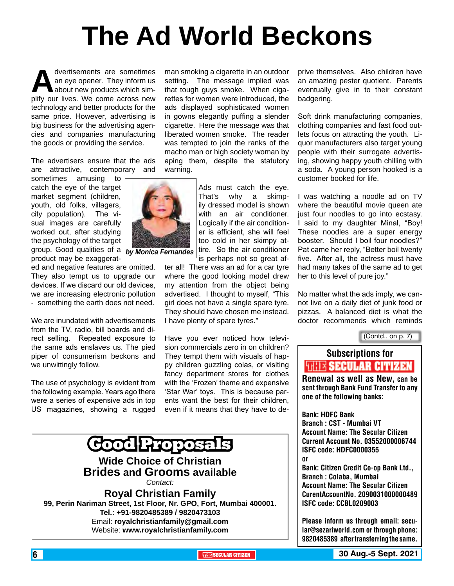# **The Ad World Beckons**

man smoking a cigarette in an outdoor setting. The message implied was

dvertisements are sometimes<br>
an eye opener. They inform us<br>
plify our lives. We come across new an eye opener. They inform us about new products which simtechnology and better products for the same price. However, advertising is big business for the advertising agencies and companies manufacturing the goods or providing the service.

The advertisers ensure that the ads are attractive, contemporary and

sometimes amusing to catch the eye of the target market segment (children, youth, old folks, villagers, city population). The visual images are carefully worked out, after studying the psychology of the target group. Good qualities of a product may be exaggerat-

ed and negative features are omitted. They also tempt us to upgrade our devices. If we discard our old devices, we are increasing electronic pollution - something the earth does not need.

We are inundated with advertisements from the TV, radio, bill boards and direct selling. Repeated exposure to the same ads enslaves us. The pied piper of consumerism beckons and we unwittingly follow.

The use of psychology is evident from the following example. Years ago there were a series of expensive ads in top US magazines, showing a rugged that tough guys smoke. When cigarettes for women were introduced, the ads displayed sophisticated women in gowns elegantly puffing a slender cigarette. Here the message was that liberated women smoke. The reader was tempted to join the ranks of the macho man or high society woman by aping them, despite the statutory warning.

> Ads must catch the eye. That's why a skimpily dressed model is shown with an air conditioner. Logically if the air conditioner is efficient, she will feel too cold in her skimpy attire. So the air conditioner is perhaps not so great af-

ter all! There was an ad for a car tyre where the good looking model drew my attention from the object being advertised. I thought to myself, "This girl does not have a single spare tyre. They should have chosen me instead. I have plenty of spare tyres."

Have you ever noticed how television commercials zero in on children? They tempt them with visuals of happy children guzzling colas, or visiting fancy department stores for clothes with the 'Frozen' theme and expensive 'Star War' toys. This is because parents want the best for their children, even if it means that they have to de-



prive themselves. Also children have an amazing pester quotient. Parents eventually give in to their constant badgering.

Soft drink manufacturing companies, clothing companies and fast food outlets focus on attracting the youth. Liquor manufacturers also target young people with their surrogate advertising, showing happy youth chilling with a soda. A young person hooked is a customer booked for life.

I was watching a noodle ad on TV where the beautiful movie queen ate just four noodles to go into ecstasy. I said to my daughter Minal, "Boy! These noodles are a super energy booster. Should I boil four noodles?" Pat came her reply, "Better boil twenty five. After all, the actress must have had many takes of the same ad to get her to this level of pure joy."

No matter what the ads imply, we cannot live on a daily diet of junk food or pizzas. A balanced diet is what the doctor recommends which reminds

(Contd.. on p. 7)

### Subscriptions for **THIE SECULAR CITIZEN**<br>Renewal as well as New, can be

sent through Bank Fund Transfer to any one of the following banks:

Bank: HDFC Bank Branch : CST - Mumbai VT Account Name: The Secular Citizen Current Account No. 03552000006744 ISFC code: HDFC0000355 or Bank: Citizen Credit Co-op Bank Ltd., Branch : Colaba, Mumbai Account Name: The Secular Citizen CurentAccountNo. 2090031000000489 ISFC code: CCBL0209003

Please inform us through email: secular@sezariworld.com or through phone: 9820485389 after transferring the same.

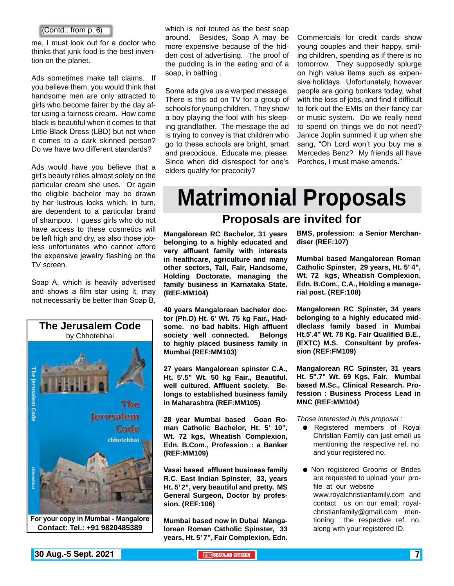#### (Contd.. from p. 6)

me, I must look out for a doctor who thinks that junk food is the best invention on the planet.

Ads sometimes make tall claims. If you believe them, you would think that handsome men are only attracted to girls who become fairer by the day after using a fairness cream. How come black is beautiful when it comes to that Little Black Dress (LBD) but not when it comes to a dark skinned person? Do we have two different standards?

Ads would have you believe that a girl's beauty relies almost solely on the particular cream she uses. Or again the eligible bachelor may be drawn by her lustrous locks which, in turn, are dependent to a particular brand of shampoo. I guess girls who do not have access to these cosmetics will be left high and dry, as also those jobless unfortunates who cannot afford the expensive jewelry flashing on the TV screen.

Soap A, which is heavily advertised and shows a film star using it, may not necessarily be better than Soap B,



**For your copy in Mumbai - Mangalore Contact: Tel.: +91 9820485389**

which is not touted as the best soap around. Besides, Soap A may be more expensive because of the hidden cost of advertising. The proof of the pudding is in the eating and of a soap, in bathing .

Some ads give us a warped message. There is this ad on TV for a group of schools for young children. They show a boy playing the fool with his sleeping grandfather. The message the ad is trying to convey is that children who go to these schools are bright, smart and precocious. Educate me, please. Since when did disrespect for one's elders qualify for precocity?

Commercials for credit cards show young couples and their happy, smiling children, spending as if there is no tomorrow. They supposedly splurge on high value items such as expensive holidays. Unfortunately, however people are going bonkers today, what with the loss of jobs, and find it difficult to fork out the EMIs on their fancy car or music system. Do we really need to spend on things we do not need? Janice Joplin summed it up when she sang, "Oh Lord won't you buy me a Mercedes Benz? My friends all have Porches, I must make amends."

# **Matrimonial Proposals**

#### **Proposals are invited for**

**Mangalorean RC Bachelor, 31 years belonging to a highly educated and very affluent family with interests in healthcare, agriculture and many other sectors, Tall, Fair, Handsome, Holding Doctorate, managing the family business in Karnataka State. (REF:MM104)**

**40 years Mangalorean bachelor doctor (Ph.D) Ht. 6' Wt. 75 kg Fair., Hadsome. no bad habits. High affluent society well connected. Belongs to highly placed business family in Mumbai (REF:MM103)**

**27 years Mangalorean spinster C.A., Ht. 5'.5" Wt. 50 kg Fair., Beautiful. well cultured. Affluent society. Belongs to established business family in Maharashtra (REF:MM105)**

**28 year Mumbai based Goan Roman Catholic Bachelor, Ht. 5' 10", Wt. 72 kgs, Wheatish Complexion, Edn. B.Com., Profession : a Banker (REF:MM109)**

**Vasai based affluent business family R.C. East Indian Spinster, 33, years Ht. 5' 2", very beautiful and pretty. MS General Surgeon, Doctor by profession. (REF:106)**

**Mumbai based now in Dubai Mangalorean Roman Catholic Spinster, 33 years, Ht. 5' 7", Fair Complexion, Edn.**  **BMS, profession: a Senior Merchandiser (REF:107)**

**Mumbai based Mangalorean Roman Catholic Spinster, 29 years, Ht. 5' 4", Wt. 72 kgs, Wheatish Complexion, Edn. B.Com., C.A., Holding a managerial post. (REF:108)** 

**Mangalorean RC Spinster, 34 years belonging to a highly educated middleclass family based in Mumbai Ht.5'.4" Wt. 78 Kg. Fair Qualified B.E., (EXTC) M.S. Consultant by profession (REF:FM109)**

**Mangalorean RC Spinster, 31 years Ht. 5".7" Wt. 69 Kgs, Fair. Mumbai based M.Sc., Clinical Research. Profession : Business Process Lead in MNC (REF:MM104)**

*Those interested in this proposal :*

- Registered members of Royal Christian Family can just email us mentioning the respective ref. no. and your registered no.
- **Non registered Grooms or Brides** are requested to upload your profile at our website www.royalchristianfamily.com and contact us on our email: royalchristianfamily@gmail.com mentioning the respective ref. no. along with your registered ID.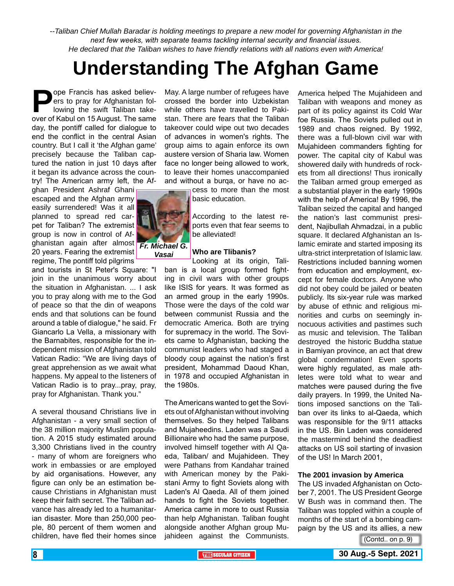*--Taliban Chief Mullah Baradar is holding meetings to prepare a new model for governing Afghanistan in the next few weeks, with separate teams tackling internal security and financial issues. He declared that the Taliban wishes to have friendly relations with all nations even with America!*

## **Understanding The Afghan Game**

**Pope Francis has asked believ-<br>ers to pray for Afghanistan fol-<br>lowing the swift Taliban take-<br>over of Kabul on 15 August. The same** ers to pray for Afghanistan following the swift Taliban takeover of Kabul on 15 August. The same day, the pontiff called for dialogue to end the conflict in the central Asian country. But I call it 'the Afghan game' precisely because the Taliban captured the nation in just 10 days after it began its advance across the country! The American army left, the Af-

ghan President Ashraf Ghani escaped and the Afghan army easily surrendered! Was it all planned to spread red carpet for Taliban? The extremist group is now in control of Afghanistan again after almost *Fr. Michael G.*  20 years. Fearing the extremist regime, The pontiff told pilgrims

and tourists in St Peter's Square: "I join in the unanimous worry about the situation in Afghanistan. ... I ask you to pray along with me to the God of peace so that the din of weapons ends and that solutions can be found around a table of dialogue," he said. Fr Giancarlo La Vella, a missionary with the Barnabites, responsible for the independent mission of Afghanistan told Vatican Radio: "We are living days of great apprehension as we await what happens. My appeal to the listeners of Vatican Radio is to pray...pray, pray, pray for Afghanistan. Thank you."

A several thousand Christians live in Afghanistan - a very small section of the 38 million majority Muslim population. A 2015 study estimated around 3,300 Christians lived in the country - many of whom are foreigners who work in embassies or are employed by aid organisations. However, any figure can only be an estimation because Christians in Afghanistan must keep their faith secret. The Taliban advance has already led to a humanitarian disaster. More than 250,000 people, 80 percent of them women and children, have fled their homes since

May. A large number of refugees have crossed the border into Uzbekistan while others have travelled to Pakistan. There are fears that the Taliban takeover could wipe out two decades of advances in women's rights. The group aims to again enforce its own austere version of Sharia law. Women face no longer being allowed to work, to leave their homes unaccompanied and without a burqa, or have no ac-

> cess to more than the most basic education.

According to the latest reports even that fear seems to be alleviated!

#### **Who are Tlibanis?**

Looking at its origin, Taliban is a local group formed fighting in civil wars with other groups like ISIS for years. It was formed as an armed group in the early 1990s. Those were the days of the cold war between communist Russia and the democratic America. Both are trying for supremacy in the world. The Soviets came to Afghanistan, backing the communist leaders who had staged a bloody coup against the nation's first president, Mohammad Daoud Khan, in 1978 and occupied Afghanistan in the 1980s.

The Americans wanted to get the Soviets out of Afghanistan without involving themselves. So they helped Talibans and Mujaheedins. Laden was a Saudi Billionaire who had the same purpose, involved himself together with Al Qaeda, Taliban/ and Mujahideen. They were Pathans from Kandahar trained with American money by the Pakistani Army to fight Soviets along with Laden's Al Qaeda. All of them joined hands to fight the Soviets together. America came in more to oust Russia than help Afghanistan. Taliban fought alongside another Afghan group Mujahideen against the Communists.

America helped The Mujahideen and Taliban with weapons and money as part of its policy against its Cold War foe Russia. The Soviets pulled out in 1989 and chaos reigned. By 1992, there was a full-blown civil war with Mujahideen commanders fighting for power. The capital city of Kabul was showered daily with hundreds of rockets from all directions! Thus ironically the Taliban armed group emerged as a substantial player in the early 1990s with the help of America! By 1996, the Taliban seized the capital and hanged the nation's last communist president, Najibullah Ahmadzai, in a public square. It declared Afghanistan an Islamic emirate and started imposing its ultra-strict interpretation of Islamic law. Restrictions included banning women from education and employment, except for female doctors. Anyone who did not obey could be jailed or beaten publicly. Its six-year rule was marked by abuse of ethnic and religious minorities and curbs on seemingly innocuous activities and pastimes such as music and television. The Taliban destroyed the historic Buddha statue in Bamiyan province, an act that drew global condemnation! Even sports were highly regulated, as male athletes were told what to wear and matches were paused during the five daily prayers. In 1999, the United Nations imposed sanctions on the Taliban over its links to al-Qaeda, which was responsible for the 9/11 attacks in the US. Bin Laden was considered the mastermind behind the deadliest attacks on US soil starting of invasion of the US! In March 2001,

#### **The 2001 invasion by America**

The US invaded Afghanistan on October 7, 2001. The US President George W Bush was in command then. The Taliban was toppled within a couple of months of the start of a bombing campaign by the US and its allies, a new

(Contd.. on p. 9)

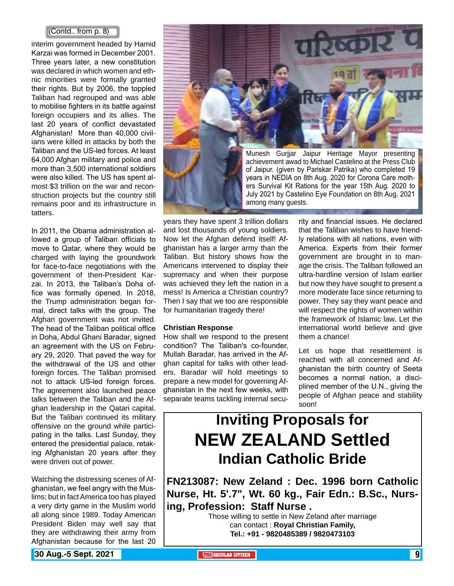#### (Contd.. from p. 8)

interim government headed by Hamid Karzai was formed in December 2001. Three years later, a new constitution was declared in which women and ethnic minorities were formally granted their rights. But by 2006, the toppled Taliban had regrouped and was able to mobilise fighters in its battle against foreign occupiers and its allies. The last 20 years of conflict devastated Afghanistan! More than 40,000 civilians were killed in attacks by both the Taliban and the US-led forces. At least 64,000 Afghan military and police and more than 3,500 international soldiers were also killed. The US has spent almost \$3 trillion on the war and reconstruction projects but the country still remains poor and its infrastructure in tatters.

In 2011, the Obama administration allowed a group of Taliban officials to move to Qatar, where they would be charged with laying the groundwork for face-to-face negotiations with the government of then-President Karzai. In 2013, the Taliban's Doha office was formally opened. In 2018, the Trump administration began formal, direct talks with the group. The Afghan government was not invited. The head of the Taliban political office in Doha, Abdul Ghani Baradar, signed an agreement with the US on February 29, 2020. That paved the way for the withdrawal of the US and other foreign forces. The Taliban promised not to attack US-led foreign forces. The agreement also launched peace talks between the Taliban and the Afghan leadership in the Qatari capital. But the Taliban continued its military offensive on the ground while participating in the talks. Last Sunday, they entered the presidential palace, retaking Afghanistan 20 years after they were driven out of power.

Watching the distressing scenes of Afghanistan, we feel angry with the Muslims; but in fact America too has played a very dirty game in the Muslim world all along since 1989. Today American President Biden may well say that they are withdrawing their army from Afghanistan because for the last 20



among many guests.

years they have spent 3 trillion dollars and lost thousands of young soldiers. Now let the Afghan defend itself! Afghanistan has a larger army than the Taliban. But history shows how the Americans intervened to display their supremacy and when their purpose was achieved they left the nation in a mess! Is America a Christian country? Then I say that we too are responsible for humanitarian tragedy there!

#### **Christian Response**

How shall we respond to the present condition? The Taliban's co-founder, Mullah Baradar, has arrived in the Afghan capital for talks with other leaders. Baradar will hold meetings to prepare a new model for governing Afghanistan in the next few weeks, with separate teams tackling internal secu-

rity and financial issues. He declared that the Taliban wishes to have friendly relations with all nations, even with America. Experts from their former government are brought in to manage the crisis. The Taliban followed an ultra-hardline version of Islam earlier but now they have sought to present a more moderate face since returning to power. They say they want peace and will respect the rights of women within the framework of Islamic law. Let the international world believe and give them a chance!

July 2021 by Castelino Eye Foundation on 8th Aug. 2021

Let us hope that resettlement is reached with all concerned and Afghanistan the birth country of Seeta becomes a normal nation, a disciplined member of the U.N., giving the people of Afghan peace and stability soon!

## **Inviting Proposals for NEW ZEALAND Settled Indian Catholic Bride**

**FN213087: New Zeland : Dec. 1996 born Catholic Nurse, Ht. 5'.7", Wt. 60 kg., Fair Edn.: B.Sc., Nursing, Profession: Staff Nurse .**

> Those willing to settle in New Zeland after marriage can contact : **Royal Christian Family, Tel.: +91 - 9820485389 / 9820473103**

**130 Aug.-5 Sept. 2021 The CITIZEN SECULAR CITIZEN THE** SECULAR CITIZEN **1**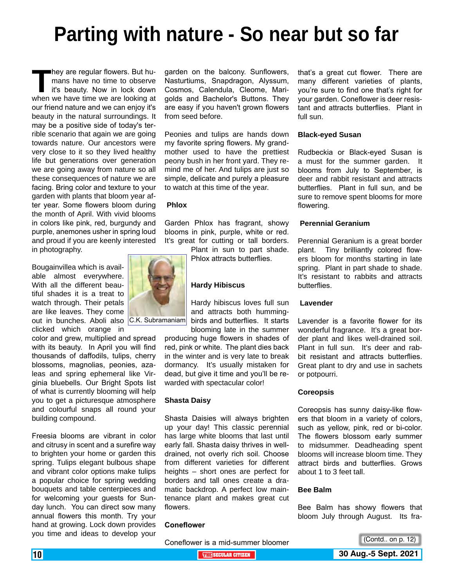# **Parting with nature - So near but so far**

**They are regular flowers. But humans have no time to observe it's beauty. Now in lock down when we have time we are looking at** mans have no time to observe it's beauty. Now in lock down when we have time we are looking at our friend nature and we can enjoy it's beauty in the natural surroundings. It may be a positive side of today's terrible scenario that again we are going towards nature. Our ancestors were very close to it so they lived healthy life but generations over generation we are going away from nature so all these consequences of nature we are facing. Bring color and texture to your garden with plants that bloom year after year. Some flowers bloom during the month of April. With vivid blooms in colors like pink, red, burgundy and purple, anemones usher in spring loud and proud if you are keenly interested in photography.

Bougainvillea which is available almost everywhere. With all the different beautiful shades it is a treat to watch through. Their petals are like leaves. They come out in bunches. Aboli also C.K. Subramaniam clicked which orange in

color and grew, multiplied and spread with its beauty. In April you will find thousands of daffodils, tulips, cherry blossoms, magnolias, peonies, azaleas and spring ephemeral like Virginia bluebells. Our Bright Spots list of what is currently blooming will help you to get a picturesque atmosphere and colourful snaps all round your building compound.

Freesia blooms are vibrant in color and citrusy in scent and a surefire way to brighten your home or garden this spring. Tulips elegant bulbous shape and vibrant color options make tulips a popular choice for spring wedding bouquets and table centerpieces and for welcoming your guests for Sunday lunch. You can direct sow many annual flowers this month. Try your hand at growing. Lock down provides you time and ideas to develop your

garden on the balcony. Sunflowers, Nasturtiums, Snapdragon, Alyssum, Cosmos, Calendula, Cleome, Marigolds and Bachelor's Buttons. They are easy if you haven't grown flowers from seed before.

Peonies and tulips are hands down my favorite spring flowers. My grandmother used to have the prettiest peony bush in her front yard. They remind me of her. And tulips are just so simple, delicate and purely a pleasure to watch at this time of the year.

#### **Phlox**

Garden Phlox has fragrant, showy blooms in pink, purple, white or red. It's great for cutting or tall borders. Plant in sun to part shade.

Phlox attracts butterflies.

#### **Hardy Hibiscus**

Hardy hibiscus loves full sun and attracts both hummingbirds and butterflies. It starts blooming late in the summer

producing huge flowers in shades of red, pink or white. The plant dies back in the winter and is very late to break dormancy. It's usually mistaken for dead, but give it time and you'll be rewarded with spectacular color!

#### **Shasta Daisy**

Shasta Daisies will always brighten up your day! This classic perennial has large white blooms that last until early fall. Shasta daisy thrives in welldrained, not overly rich soil. Choose from different varieties for different heights – short ones are perfect for borders and tall ones create a dramatic backdrop. A perfect low maintenance plant and makes great cut flowers.

#### **Coneflower**

Coneflower is a mid-summer bloomer

that's a great cut flower. There are many different varieties of plants, you're sure to find one that's right for your garden. Coneflower is deer resistant and attracts butterflies. Plant in full sun.

#### **Black-eyed Susan**

Rudbeckia or Black-eyed Susan is a must for the summer garden. It blooms from July to September, is deer and rabbit resistant and attracts butterflies. Plant in full sun, and be sure to remove spent blooms for more flowering.

#### **Perennial Geranium**

Perennial Geranium is a great border plant. Tiny brilliantly colored flowers bloom for months starting in late spring. Plant in part shade to shade. It's resistant to rabbits and attracts butterflies.

#### **Lavender**

Lavender is a favorite flower for its wonderful fragrance. It's a great border plant and likes well-drained soil. Plant in full sun. It's deer and rabbit resistant and attracts butterflies. Great plant to dry and use in sachets or potpourri.

#### **Coreopsis**

Coreopsis has sunny daisy-like flowers that bloom in a variety of colors, such as yellow, pink, red or bi-color. The flowers blossom early summer to midsummer. Deadheading spent blooms will increase bloom time. They attract birds and butterflies. Grows about 1 to 3 feet tall.

#### **Bee Balm**

Bee Balm has showy flowers that bloom July through August. Its fra-



(Contd.. on p. 12)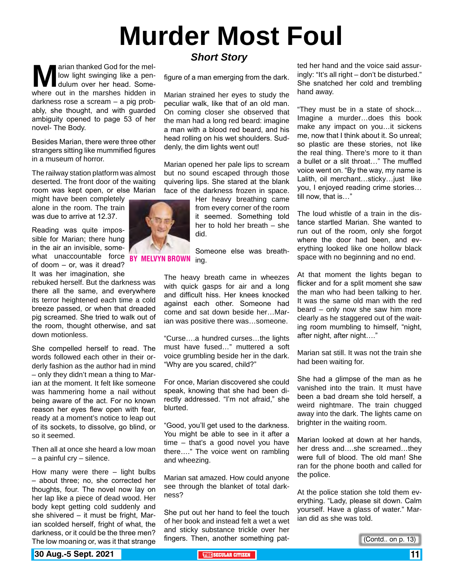# **Murder Most Foul**

**Marian thanked God for the mel-**<br>dulum over her head. Some-<br>where out in the marshes hidden in low light swinging like a pendulum over her head. Somedarkness rose a scream – a pig probably, she thought, and with guarded ambiguity opened to page 53 of her novel- The Body.

Besides Marian, there were three other strangers sitting like mummified figures in a museum of horror.

The railway station platform was almost deserted. The front door of the waiting room was kept open, or else Marian

might have been completely alone in the room. The train was due to arrive at 12.37.

Reading was quite impossible for Marian; there hung in the air an invisible, somewhat unaccountable force BY MELVYN BROWN ing. of doom – or, was it dread? It was her imagination, she

rebuked herself. But the darkness was there all the same, and everywhere its terror heightened each time a cold breeze passed, or when that dreaded pig screamed. She tried to walk out of the room, thought otherwise, and sat down motionless.

She compelled herself to read. The words followed each other in their orderly fashion as the author had in mind – only they didn't mean a thing to Marian at the moment. It felt like someone was hammering home a nail without being aware of the act. For no known reason her eyes flew open with fear, ready at a moment's notice to leap out of its sockets, to dissolve, go blind, or so it seemed.

Then all at once she heard a low moan – a painful cry – silence.

How many were there – light bulbs – about three; no, she corrected her thoughts, four. The novel now lay on her lap like a piece of dead wood. Her body kept getting cold suddenly and she shivered – it must be fright, Marian scolded herself, fright of what, the darkness, or it could be the three men? The low moaning or, was it that strange

#### *Short Story*

figure of a man emerging from the dark.

Marian strained her eyes to study the peculiar walk, like that of an old man. On coming closer she observed that the man had a long red beard: imagine a man with a blood red beard, and his head rolling on his wet shoulders. Suddenly, the dim lights went out!

Marian opened her pale lips to scream but no sound escaped through those quivering lips. She stared at the blank face of the darkness frozen in space.

> Her heavy breathing came from every corner of the room it seemed. Something told her to hold her breath – she did.

Someone else was breath-

The heavy breath came in wheezes with quick gasps for air and a long and difficult hiss. Her knees knocked against each other. Someone had come and sat down beside her…Marian was positive there was…someone.

"Curse….a hundred curses…the lights must have fused…" muttered a soft voice grumbling beside her in the dark. "Why are you scared, child?"

For once, Marian discovered she could speak, knowing that she had been directly addressed. "I'm not afraid," she blurted.

"Good, you'll get used to the darkness. You might be able to see in it after a time – that's a good novel you have there…." The voice went on rambling and wheezing.

Marian sat amazed. How could anyone see through the blanket of total darkness?

She put out her hand to feel the touch of her book and instead felt a wet a wet and sticky substance trickle over her fingers. Then, another something patted her hand and the voice said assuringly: "It's all right – don't be disturbed." She snatched her cold and trembling hand away.

"They must be in a state of shock… Imagine a murder…does this book make any impact on you…it sickens me, now that I think about it. So unreal; so plastic are these stories, not like the real thing. There's more to it than a bullet or a slit throat…" The muffled voice went on. "By the way, my name is Lalith, oil merchant...sticky...just like you, I enjoyed reading crime stories… till now, that is…"

The loud whistle of a train in the distance startled Marian. She wanted to run out of the room, only she forgot where the door had been, and everything looked like one hollow black space with no beginning and no end.

At that moment the lights began to flicker and for a split moment she saw the man who had been talking to her. It was the same old man with the red beard – only now she saw him more clearly as he staggered out of the waiting room mumbling to himself, "night, after night, after night…."

Marian sat still. It was not the train she had been waiting for.

She had a glimpse of the man as he vanished into the train. It must have been a bad dream she told herself, a weird nightmare. The train chugged away into the dark. The lights came on brighter in the waiting room.

Marian looked at down at her hands, her dress and….she screamed…they were full of blood. The old man! She ran for the phone booth and called for the police.

At the police station she told them everything. "Lady, please sit down. Calm yourself. Have a glass of water." Marian did as she was told.

(Contd.. on p. 13)

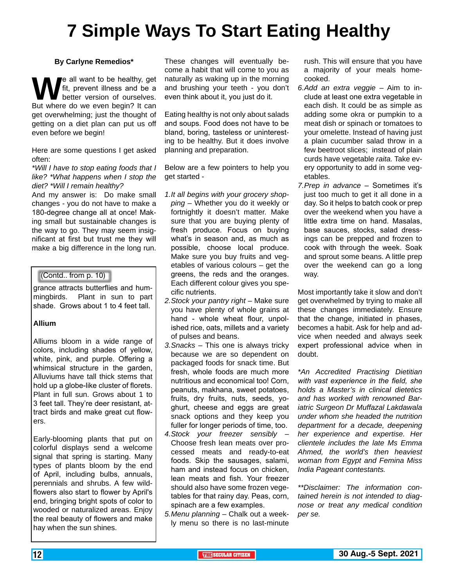# **7 Simple Ways To Start Eating Healthy**

#### **By Carlyne Remedios\***

We all want to be healthy, get<br>
But where do we even begin? It can fit, prevent illness and be a better version of ourselves. get overwhelming; just the thought of getting on a diet plan can put us off even before we begin!

Here are some questions I get asked often:

*\*Will I have to stop eating foods that I like? \*What happens when I stop the diet? \*Will I remain healthy?*

And my answer is: Do make small changes - you do not have to make a 180-degree change all at once! Making small but sustainable changes is the way to go. They may seem insignificant at first but trust me they will make a big difference in the long run.

#### (Contd.. from p. 10)

grance attracts butterflies and hummingbirds. Plant in sun to part shade. Grows about 1 to 4 feet tall.

#### **Allium**

Alliums bloom in a wide range of colors, including shades of yellow, white, pink, and purple. Offering a whimsical structure in the garden, Alluviums have tall thick stems that hold up a globe-like cluster of florets. Plant in full sun. Grows about 1 to 3 feet tall. They're deer resistant, attract birds and make great cut flowers.

Early-blooming plants that put on colorful displays send a welcome signal that spring is starting. Many types of plants bloom by the end of April, including bulbs, annuals, perennials and shrubs. A few wildflowers also start to flower by April's end, bringing bright spots of color to wooded or naturalized areas. Enjoy the real beauty of flowers and make hay when the sun shines.

These changes will eventually become a habit that will come to you as naturally as waking up in the morning and brushing your teeth - you don't even think about it, you just do it.

Eating healthy is not only about salads and soups. Food does not have to be bland, boring, tasteless or uninteresting to be healthy. But it does involve planning and preparation.

Below are a few pointers to help you get started -

- *1.It all begins with your grocery shopping* – Whether you do it weekly or fortnightly it doesn't matter. Make sure that you are buying plenty of fresh produce. Focus on buying what's in season and, as much as possible, choose local produce. Make sure you buy fruits and vegetables of various colours – get the greens, the reds and the oranges. Each different colour gives you specific nutrients.
- *2.Stock your pantry right* Make sure you have plenty of whole grains at hand - whole wheat flour, unpolished rice, oats, millets and a variety of pulses and beans.
- *3.Snacks* This one is always tricky because we are so dependent on packaged foods for snack time. But fresh, whole foods are much more nutritious and economical too! Corn, peanuts, makhana, sweet potatoes, fruits, dry fruits, nuts, seeds, yoghurt, cheese and eggs are great snack options and they keep you fuller for longer periods of time, too.
- *4.Stock your freezer sensibly* Choose fresh lean meats over processed meats and ready-to-eat foods. Skip the sausages, salami, ham and instead focus on chicken, lean meats and fish. Your freezer should also have some frozen vegetables for that rainy day. Peas, corn, spinach are a few examples.
- *5.Menu planning* Chalk out a weekly menu so there is no last-minute

rush. This will ensure that you have a majority of your meals homecooked.

- *6.Add an extra veggie* Aim to include at least one extra vegetable in each dish. It could be as simple as adding some okra or pumpkin to a meat dish or spinach or tomatoes to your omelette. Instead of having just a plain cucumber salad throw in a few beetroot slices; instead of plain curds have vegetable *raita.* Take every opportunity to add in some vegetables.
- *7.Prep in advance* Sometimes it's just too much to get it all done in a day. So it helps to batch cook or prep over the weekend when you have a little extra time on hand. Masalas, base sauces, stocks, salad dressings can be prepped and frozen to cook with through the week. Soak and sprout some beans. A little prep over the weekend can go a long way.

Most importantly take it slow and don't get overwhelmed by trying to make all these changes immediately. Ensure that the change, initiated in phases, becomes a habit. Ask for help and advice when needed and always seek expert professional advice when in doubt.

*\*An Accredited Practising Dietitian with vast experience in the field, she holds a Master's in clinical dietetics and has worked with renowned Bariatric Surgeon Dr Muffazal Lakdawala under whom she headed the nutrition department for a decade, deepening her experience and expertise. Her clientele includes the late Ms Emma Ahmed, the world's then heaviest woman from Egypt and Femina Miss India Pageant contestants.*

*\*\*Disclaimer: The information contained herein is not intended to diagnose or treat any medical condition per se.*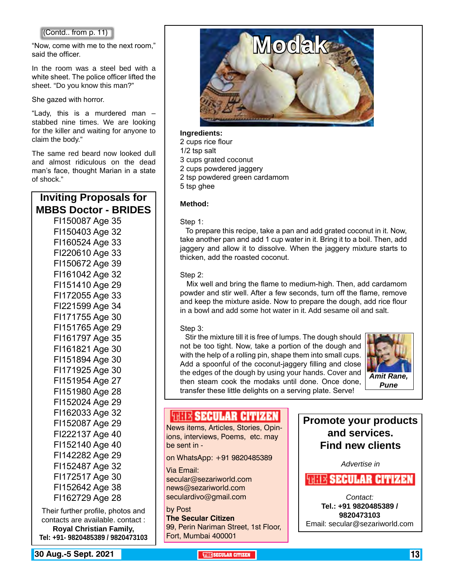"Now, come with me to the next room," said the officer.

In the room was a steel bed with a white sheet. The police officer lifted the sheet. "Do you know this man?"

She gazed with horror.

"Lady, this is a murdered man – stabbed nine times. We are looking for the killer and waiting for anyone to claim the body."

The same red beard now looked dull and almost ridiculous on the dead man's face, thought Marian in a state of shock."

#### **Inviting Proposals for MBBS Doctor - BRIDES** FI150087 Age 35

FI150403 Age 32 FI160524 Age 33 FI220610 Age 33 FI150672 Age 39 FI161042 Age 32 FI151410 Age 29 FI172055 Age 33 FI221599 Age 34 FI171755 Age 30 FI151765 Age 29 FI161797 Age 35 FI161821 Age 30 FI151894 Age 30 FI171925 Age 30 FI151954 Age 27 FI151980 Age 28 FI152024 Age 29 FI162033 Age 32 FI152087 Age 29 FI222137 Age 40 FI152140 Age 40 FI142282 Age 29 FI152487 Age 32 FI172517 Age 30 FI152642 Age 38 FI162729 Age 28

Their further profile, photos and contacts are available. contact : **Royal Christian Family, Tel: +91- 9820485389 / 9820473103**



#### **Ingredients:**

2 cups rice flour 1/2 tsp salt 3 cups grated coconut 2 cups powdered jaggery 2 tsp powdered green cardamom 5 tsp ghee

#### **Method:**

#### Step 1:

 To prepare this recipe, take a pan and add grated coconut in it. Now, take another pan and add 1 cup water in it. Bring it to a boil. Then, add jaggery and allow it to dissolve. When the jaggery mixture starts to thicken, add the roasted coconut.

#### Sten 2:

 Mix well and bring the flame to medium-high. Then, add cardamom powder and stir well. After a few seconds, turn off the flame, remove and keep the mixture aside. Now to prepare the dough, add rice flour in a bowl and add some hot water in it. Add sesame oil and salt.

#### Step 3:

 Stir the mixture till it is free of lumps. The dough should not be too tight. Now, take a portion of the dough and with the help of a rolling pin, shape them into small cups. Add a spoonful of the coconut-jaggery filling and close the edges of the dough by using your hands. Cover and then steam cook the modaks until done. Once done, transfer these little delights on a serving plate. Serve!



#### *SUITE SECULAR CITIZEN*

News items, Articles, Stories, Opinions, interviews, Poems, etc. may be sent in -

on WhatsApp: +91 9820485389

Via Email: secular@sezariworld.com news@sezariworld.com seculardivo@gmail.com

by Post **The Secular Citizen** 99, Perin Nariman Street, 1st Floor, Fort, Mumbai 400001

**Promote your products and services. Find new clients**

*Advertise in*

**WHEE SECULAR CITIZEN** 

*Contact:* **Tel.: +91 9820485389 / 9820473103** Email: secular@sezariworld.com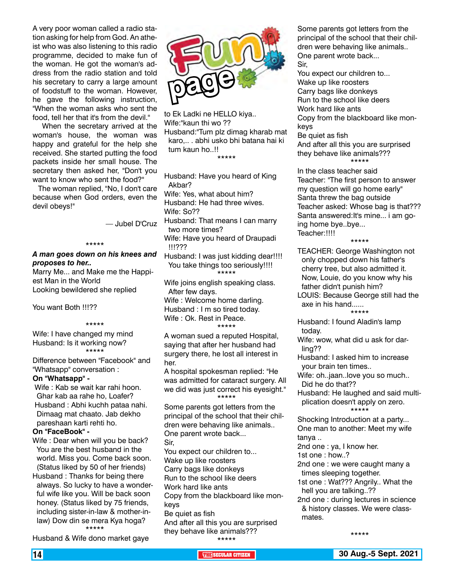A very poor woman called a radio station asking for help from God. An atheist who was also listening to this radio programme, decided to make fun of the woman. He got the woman's address from the radio station and told his secretary to carry a large amount of foodstuff to the woman. However, he gave the following instruction, "When the woman asks who sent the food, tell her that it's from the devil.''

 When the secretary arrived at the woman's house, the woman was happy and grateful for the help she received. She started putting the food packets inside her small house. The secretary then asked her, "Don't you want to know who sent the food?''

 The woman replied, ''No, I don't care because when God orders, even the devil obeys!"

— Jubel D'Cruz

#### \*\*\*\*\*

#### *A man goes down on his knees and proposes to her..*

Marry Me... and Make me the Happiest Man in the World Looking bewildered she replied

You want Both !!!??

#### \*\*\*\*\*

Wife: I have changed my mind Husband: Is it working now? \*\*\*\*\*

Difference between "Facebook" and "Whatsapp" conversation :

#### **On "Whatsapp" -**

Wife : Kab se wait kar rahi hoon. Ghar kab aa rahe ho, Loafer? Husband : Abhi kuchh pataa nahi. Dimaag mat chaato. Jab dekho pareshaan karti rehti ho.

#### **On "FaceBook" -**

Wife : Dear when will you be back? You are the best husband in the world. Miss you. Come back soon. (Status liked by 50 of her friends)

Husband : Thanks for being there always. So lucky to have a wonderful wife like you. Will be back soon honey. (Status liked by 75 friends, including sister-in-law & mother-inlaw) Dow din se mera Kya hoga? \*\*\*\*\*

Husband & Wife dono market gaye



to Ek Ladki ne HELLO kiya.. Wife:"kaun thi wo ?? Husband:"Tum plz dimag kharab mat karo,.. . abhi usko bhi batana hai ki tum kaun ho..!! \*\*\*\*\*

Husband: Have you heard of King Akbar? Wife: Yes, what about him? Husband: He had three wives. Wife: So?? Husband: That means I can marry

two more times? Wife: Have you heard of Draupadi

!!!???

Husband: I was just kidding dear!!!! You take things too seriously!!!! \*\*\*\*\*

- Wife joins english speaking class. After few days.
- Wife : Welcome home darling. Husband : I m so tired today. Wife : Ok. Rest in Peace. \*\*\*\*\*

A woman sued a reputed Hospital, saying that after her husband had surgery there, he lost all interest in her.

A hospital spokesman replied: "He was admitted for cataract surgery. All we did was just correct his eyesight." \*\*\*\*\*

Some parents got letters from the principal of the school that their children were behaving like animals.. One parent wrote back...

Sir,

You expect our children to... Wake up like roosters Carry bags like donkeys Run to the school like deers Work hard like ants Copy from the blackboard like monkeys

Be quiet as fish

And after all this you are surprised they behave like animals??? \*\*\*\*\*

Some parents got letters from the principal of the school that their children were behaving like animals.. One parent wrote back... Sir,

You expect our children to... Wake up like roosters Carry bags like donkeys Run to the school like deers Work hard like ants Copy from the blackboard like monkeys Be quiet as fish And after all this you are surprised they behave like animals??? \*\*\*\*\* In the class teacher said Teacher: "The first person to answer

my question will go home early" Santa threw the bag outside Teacher asked: Whose bag is that??? Santa answered:It's mine... i am going home bye..bye... Teacher:!!!!

\*\*\*\*\*

TEACHER: George Washington not only chopped down his father's cherry tree, but also admitted it. Now, Louie, do you know why his father didn't punish him? LOUIS: Because George still had the axe in his hand......

\*\*\*\*\*

- Husband: I found Aladin's lamp today.
- Wife: wow, what did u ask for darling??
- Husband: I asked him to increase your brain ten times..
- Wife: oh..jaan..love you so much.. Did he do that??
- Husband: He laughed and said multiplication doesn't apply on zero. \*\*\*\*\*

Shocking Introduction at a party... One man to another: Meet my wife tanya ..

2nd one : ya, I know her.

1st one : how..?

- 2nd one : we were caught many a times sleeping together.
- 1st one : Wat??? Angrily.. What the hell you are talking..??
- 2nd one : during lectures in science & history classes. We were classmates.

\*\*\*\*\*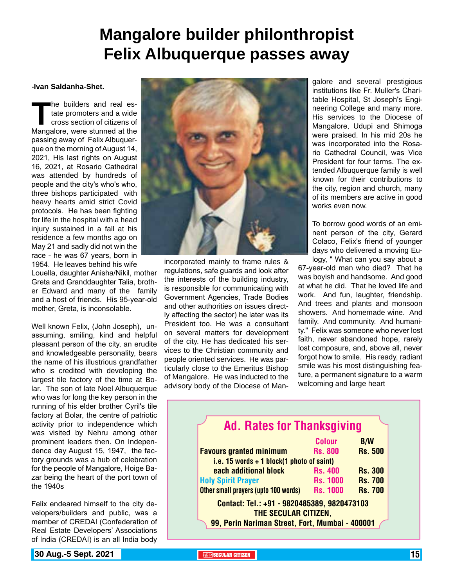## **Mangalore builder philonthropist Felix Albuquerque passes away**

#### **-Ivan Saldanha-Shet.**

The builders and real estate promoters and a wide<br>
cross section of citizens of<br>
Mangalore, were stunned at the tate promoters and a wide cross section of citizens of passing away of Felix Albuquerque on the morning of August 14, 2021, His last rights on August 16, 2021, at Rosario Cathedral was attended by hundreds of people and the city's who's who, three bishops participated with heavy hearts amid strict Covid protocols. He has been fighting for life in the hospital with a head injury sustained in a fall at his residence a few months ago on May 21 and sadly did not win the race - he was 67 years, born in 1954. He leaves behind his wife

Louella, daughter Anisha/Nikil, mother Greta and Granddaughter Talia, brother Edward and many of the family and a host of friends. His 95-year-old mother, Greta, is inconsolable.

Well known Felix, (John Joseph), unassuming, smiling, kind and helpful pleasant person of the city, an erudite and knowledgeable personality, bears the name of his illustrious grandfather who is credited with developing the largest tile factory of the time at Bolar. The son of late Noel Albuquerque who was for long the key person in the running of his elder brother Cyril's tile factory at Bolar, the centre of patriotic activity prior to independence which was visited by Nehru among other prominent leaders then. On Independence day August 15, 1947, the factory grounds was a hub of celebration for the people of Mangalore, Hoige Bazar being the heart of the port town of the 1940s

Felix endeared himself to the city developers/builders and public, was a member of CREDAI (Confederation of Real Estate Developers' Associations of India (CREDAI) is an all India body



incorporated mainly to frame rules & regulations, safe guards and look after the interests of the building industry, is responsible for communicating with Government Agencies, Trade Bodies and other authorities on issues directly affecting the sector) he later was its President too. He was a consultant on several matters for development of the city. He has dedicated his services to the Christian community and people oriented services. He was particularly close to the Emeritus Bishop of Mangalore. He was inducted to the advisory body of the Diocese of Man-

galore and several prestigious institutions like Fr. Muller's Charitable Hospital, St Joseph's Engineering College and many more. His services to the Diocese of Mangalore, Udupi and Shimoga were praised. In his mid 20s he was incorporated into the Rosario Cathedral Council, was Vice President for four terms. The extended Albuquerque family is well known for their contributions to the city, region and church, many of its members are active in good works even now.

To borrow good words of an eminent person of the city, Gerard Colaco, Felix's friend of younger days who delivered a moving Eulogy, " What can you say about a

67-year-old man who died? That he was boyish and handsome. And good at what he did. That he loved life and work. And fun, laughter, friendship. And trees and plants and monsoon showers. And homemade wine. And family. And community. And humanity." Felix was someone who never lost faith, never abandoned hope, rarely lost composure, and, above all, never forgot how to smile. His ready, radiant smile was his most distinguishing feature, a permanent signature to a warm welcoming and large heart

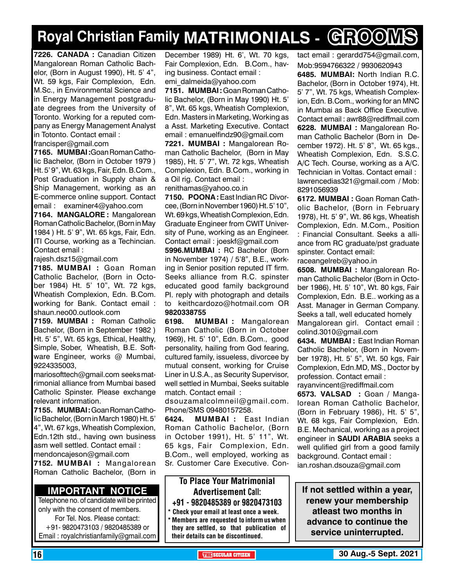# **Royal Christian Family MATRIMONIALS - GROOMS**

**7226. CANADA :** Canadian Citizen Mangalorean Roman Catholic Bachelor, (Born in August 1990), Ht. 5' 4", Wt. 59 kgs, Fair Complexion, Edn. M.Sc., in Environmental Science and in Energy Management postgraduate degrees from the University of Toronto. Working for a reputed company as Energy Management Analyst in Totonto. Contact email : francisper@gmail.com

**7165. MUMBAI :**Goan Roman Catholic Bachelor, (Born in October 1979 ) Ht. 5' 9", Wt. 63 kgs, Fair, Edn. B.Com., Post Graduation in Supply chain & Ship Management, working as an E-commerce online support. Contact email : examiner4@yahoo.com

**7164. MANGALORE :** Mangalorean Roman Catholic Bachelor, (Born in May 1984 ) Ht. 5' 9", Wt. 65 kgs, Fair, Edn. ITI Course, working as a Techincian. Contact email :

rajesh.dsz15@gmail.com

**7185. MUMBAI :** Goan Roman Catholic Bachelor, (Born in October 1984) Ht. 5' 10", Wt. 72 kgs, Wheatish Complexion, Edn. B.Com. working for Bank. Contact email : shaun.neo00.outlook.com

**7159. MUMBAI :** Roman Catholic Bachelor, (Born in September 1982 ) Ht. 5' 5", Wt. 65 kgs, Ethical, Healthy, Simple, Sober, Wheatish, B.E. Software Engineer, works @ Mumbai, 9224335003,

mariosofttech@gmail.com seeks matrimonial alliance from Mumbai based Catholic Spinster. Please exchange relevant information.

**7155. MUMBAI :** Goan Roman Catholic Bachelor, (Born in March 1980) Ht. 5' 4", Wt. 67 kgs, Wheatish Complexion, Edn.12th std., having own business asm well settled. Contact email : mendoncajeson@gmail.com

**7152. MUMBAI :** Mangalorean Roman Catholic Bachelor, (Born in

#### **Important Notice**

Telephone no. of candidate will be printed only with the consent of members. For Tel. Nos. Please contact: +91- 9820473103 / 9820485389 or Email : royalchristianfamily@gmail.com

December 1989) Ht. 6', Wt. 70 kgs, Fair Complexion, Edn. B.Com., having business. Contact email : emi\_dalmeida@yahoo.com

**7151. MUMBAI :** Goan Roman Catholic Bachelor, (Born in May 1990) Ht. 5' 8", Wt. 65 kgs, Wheatish Complexion, Edn. Masters in Marketing, Working as a Asst. Marketing Executive. Contact email : emanuelfindz90@gmail.com

**7221. MUMBAI :** Mangalorean Roman Catholic Bachelor, (Born in May 1985), Ht. 5' 7", Wt. 72 kgs, Wheatish Complexion, Edn. B.Com., working in a Oil rig. Contact email :

renithamas@yahoo.co.in

**7150. POONA: East Indian RC Divor**cee, (Born in November 1960) Ht. 5' 10", Wt. 69 kgs, Wheatish Complexion, Edn. Graduate Engineer from CWIT University of Pune, working as an Engineer. Contact email : joeskf@gmail.com

**5996.MUMBAI :** RC Bachelor (Born in November 1974) / 5'8", B.E., working in Senior position reputed IT firm. Seeks alliance from R.C. spinster educated good family background Pl. reply with photograph and details to keithcardozo@hotmail.com OR 9820338755

**6198. MUMBAI :** Mangalorean Roman Catholic (Born in October 1969), Ht. 5' 10", Edn. B.Com., good personality, hailing from God fearing, cultured family, issueless, divorcee by mutual consent, working for Cruise Liner in U.S.A., as Security Supervisor, well settled in Mumbai, Seeks suitable match. Contact email :

dsouzamalcolmneil@gmail.com. Phone/SMS 09480157258.

**6424. MUMBAI :** East Indian Roman Catholic Bachelor, (Born in October 1991), Ht. 5' 11", Wt. 65 kgs, Fair Complexion, Edn. B.Com., well employed, working as Sr. Customer Care Executive. Con-

#### To Place Your Matrimonial Advertisement Call: +91 - 9820485389 or 9820473103

Check your email at least once a week.

Members are requested to inform us when they are settled, so that publication of their details can be discontinued.

tact email : gerardd754@gmail.com, Mob:9594766322 / 9930620943 **6485. MUMBAI:** North Indian R.C. Bachelor, (Born in October 1974), Ht. 5' 7", Wt. 75 kgs, Wheatish Complexion, Edn. B.Com., working for an MNC in Mumbai as Back Office Executive. Contact email : awr88@rediffmail.com **6228. MUMBAI :** Mangalorean Roman Catholic Bachelor (Born in December 1972). Ht. 5' 8", Wt. 65 kgs., Wheatish Complexion, Edn. S.S.C. A/C Tech. Course, working as a A/C. Technician in Voltas. Contact email : lawrencedias321@gmail.com / Mob: 8291056939

**6172. MUMBAI :** Goan Roman Catholic Bachelor, (Born in February 1978), Ht. 5' 9", Wt. 86 kgs, Wheatish Complexion, Edn. M.Com., Position : Financial Consultant. Seeks a alliance from RC graduate/pst graduate spinster. Contact email:

raceangelreb@yahoo.in

**6508. MUMBAI :** Mangalorean Roman Catholic Bachelor (Born in October 1986), Ht. 5' 10", Wt. 80 kgs, Fair Complexion, Edn. B.E.. working as a Asst. Manager in German Company. Seeks a tall, well educated homely Mangalorean girl. Contact email : colind.3010@gmail.com

**6434. MUMBAI :** East Indian Roman Catholic Bachelor, (Born in November 1978), Ht. 5' 5", Wt. 50 kgs, Fair Complexion, Edn.MD, MS., Doctor by profession. Contact email : rayanvincent@rediffmail.com

**6573. VALSAD :** Goan / Mangalorean Roman Catholic Bachelor, (Born in February 1986), Ht. 5' 5", Wt. 68 kgs, Fair Complexion, Edn. B.E. Mechanical, working as a project engineer in **SAUDI ARABIA** seeks a well qulified girl from a good family background. Contact email : ian.roshan.dsouza@gmail.com

**If not settled within a year, renew your membership atleast two months in advance to continue the service uninterrupted.**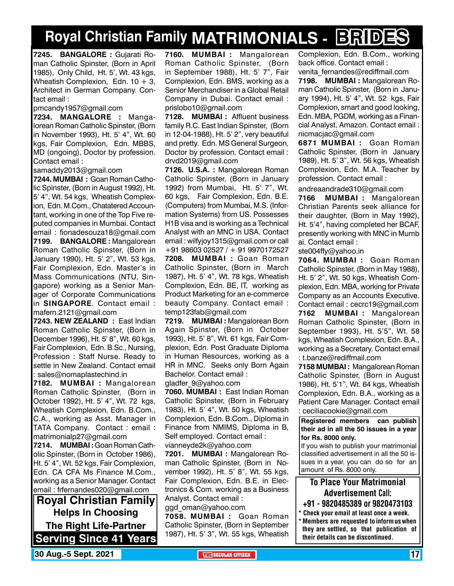# **Royal Christian Family MATRIMONIALS - BRIDES**

**7245. BANGALORE :** Gujarati Roman Catholic Spinster, (Born in April 1985), Only Child, Ht. 5', Wt. 43 kgs, Wheatish Complexion, Edn.  $10 + 3$ , Architect in German Company. Contact email :

pmcandy1957@gmail.com

**7234. MANGALORE :** Mangalorean Roman Catholic Spinster, (Born in November 1993), Ht. 5' 4", Wt. 60 kgs, Fair Complexion, Edn. MBBS, MD (ongoing), Doctor by profession. Contact email :

samaddy2013@gmail.com

**7244. MUMBAI :** Goan Roman Catholic Spinster, (Born in August 1992), Ht. 5' 4", Wt. 54 kgs, Wheatish Complexion, Edn. M.Com., Chatatered Accountant, working in one of the Top Five reputed companies in Mumbai. Contact email : fionadesouza18@gmail.com **7199. BANGALORE :** Mangalorean Roman Catholic Spinster, (Born in January 1990), Ht. 5' 2", Wt. 53 kgs, Fair Complexion, Edn. Master's in Mass Communications (NTU, Singapore) working as a Senior Manager of Corporate Communications in **SINGAPORE**. Contact email : mafern.2121@gmail.com

**7243. NEW ZEALAND :** East Indian Roman Catholic Spinster, (Born in December 1996), Ht. 5' 8", Wt. 60 kgs, Fair Complexion, Edn. B.Sc., Nursing, Profession : Staff Nurse. Ready to settle in New Zealand. Contact email : sales@nomaplastechind.in

**7182. MUMBAI :** Mangalorean Roman Catholic Spinster, (Born in October 1992), Ht. 5' 4", Wt. 72 kgs, Wheatish Complexion, Edn. B.Com., C.A., working as Asst. Manager in TATA Company. Contact : email : matrimonialp27@gmail.com

**7214. MUMBAI :** Goan Roman Catholic Spinster, (Born in October 1986), Ht. 5' 4", Wt. 52 kgs, Fair Complexion, Edn. CA CFA Ms Finance M.Com., working as a Senior Manager. Contact email : frfernandes020@gmail.com

**Royal Christian Family Helps In Choosing The Right Life-Partner Serving Since 41 Years** **7160. MUMBAI :** Mangalorean Roman Catholic Spinster, (Born in September 1988), Ht. 5' 7", Fair Complexion, Edn. BMS, working as a Senior Merchandiser in a Global Retail Company in Dubai. Contact email : prislobo10@gmail.com

**7128. MUMBAI :** Affluent business family R.C. East Indian Spinster, (Born in 12-04-1988), Ht. 5' 2", very beautiful and pretty. Edn. MS General Surgeon, Doctor by profession. Contact email : drvd2019@gmail.com

**7126. U.S.A. :** Mangalorean Roman Catholic Spinster, (Born in January 1992) from Mumbai, Ht. 5' 7", Wt. 60 kgs, Fair Complexion, Edn. B.E. (Computers) from Mumbai, M.S. (Information Systems) from US. Possesses H1B visa and is working as a Technical Analyst with an MNC in USA. Contact email : wilfyjoy1315@gmail.com or call +91 98603 02527 / + 91 9970172527 **7208. MUMBAI :** Goan Roman Catholic Spinster, (Born in March 1987), Ht. 5' 4", Wt. 78 kgs, Wheatish Complexion, Edn. BE, IT, working as Product Marketing for an e-commerce beauty Company. Contact email : temp123fab@gmail.com

**7219. MUMBAI :** Mangalorean Born Again Spinster, (Born in October 1993), Ht. 5' 8", Wt. 61 kgs, Fair Complexion, Edn. Post Graduate Diploma in Human Resources, working as a HR in MNC. Seeks only Born Again Bachelor. Contact email :

gladfer\_9@yahoo.com

**7060. MUMBAI :** East Indian Roman Catholic Spinster, (Born in February 1983), Ht. 5' 4", Wt. 50 kgs, Wheatish Complexion, Edn. B.Com., Diploma in Finance from NMIMS, Diploma in B, Self employed. Contact email : vianneyde2k@yahoo.com

**7201. MUMBAI :** Mangalorean Roman Catholic Spinster, (Born in November 1992), Ht. 5' 8", Wt. 55 kgs, Fair Complexion, Edn. B.E. in Electronics & Com. working as a Business Analyst. Contact email :

ggd\_oman@yahoo.com

**7058. MUMBAI :** Goan Roman Catholic Spinster, (Born in September 1987), Ht. 5' 3", Wt. 55 kgs, Wheatish Complexion, Edn. B.Com., working back office. Contact email :

venita fernandes@rediffmail.com **7198. MUMBAI :** Mangalorean Roman Catholic Spinster, (Born in January 1994), Ht. 5' 4", Wt. 52 kgs, Fair Complexion, smart and good looking, Edn. MBA, PGDM, working as a Financial Analyst, Amazon. Contact email : nicmacjac@gmail.com

**6871 MUMBAI :** Goan Roman Catholic Spinster, (Born in January 1989), Ht. 5' 3", Wt. 56 kgs, Wheatish Complexion, Edn. M.A. Teacher by profession. Contact email :

andreaandrade310@gmail.com

**7166 MUMBAI :** Mangalorean Christian Parents seek alliance for their daughter, (Born in May 1992), Ht. 5'4", having completed her BCAF, presently working with MNC in Mumb ai. Contact email :

ste004ffy@yahoo.in

**7064. MUMBAI :** Goan Roman Catholic Spinster, (Born in May 1988), Ht. 5' 2", Wt. 50 kgs, Wheatish Complexion, Edn. MBA, working for Private Company as an Accounts Executive. Contact email : cecrc19@gmail.com **7162 MUMBAI :** Mangalorean

Roman Catholic Spinster, (Born in September 1993), Ht. 5'5", Wt. 58 kgs, Wheatish Complexion, Edn. B.A., working as a Secretary. Contact email : t.banze@rediffmail.com

**7158 MUMBAI :** Mangalorean Roman Catholic Spinster, (Born in August 1986), Ht. 5'1", Wt. 64 kgs, Wheatish Complexion, Edn. B.A., working as a Patient Care Manager. Contact email : ceciliacookie@gmail.com

**Registered members can publish their ad in all the 50 issues in a year for Rs. 8000 only.**

If you wish to publish your matrimonial classified advertisement in all the 50 issues in a year, you can do so for an amount of Rs. 8000 only.

To Place Your Matrimonial Advertisement Call:

+91 - 9820485389 or 9820473103

\* Check your email at least once a week. \* Members are requested to inform us when they are settled, so that publication of their details can be discontinued.

**30 Aug.-5 Sept. 2021 THE SECULAR CITIZEN** 17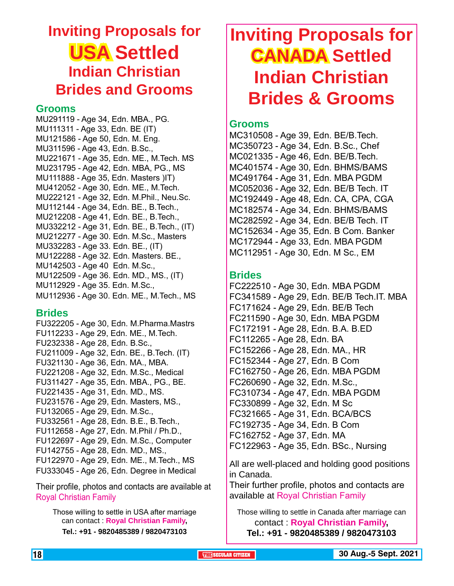## **Inviting Proposals for USA Settled Indian Christian Brides and Grooms**

#### **Grooms**

MU291119 - Age 34, Edn. MBA., PG. MU111311 - Age 33, Edn. BE (IT) MU121586 - Age 50, Edn. M. Eng. MU311596 - Age 43, Edn. B.Sc., MU221671 - Age 35, Edn. ME., M.Tech. MS MU231795 - Age 42, Edn. MBA, PG., MS MU111888 - Age 35, Edn. Masters )IT) MU412052 - Age 30, Edn. ME., M.Tech. MU222121 - Age 32, Edn. M.Phil., Neu.Sc. MU112144 - Age 34, Edn. BE., B.Tech., MU212208 - Age 41, Edn. BE., B.Tech., MU332212 - Age 31, Edn. BE., B.Tech., (IT) MU212277 - Age 30. Edn. M.Sc., Masters MU332283 - Age 33. Edn. BE., (IT) MU122288 - Age 32. Edn. Masters. BE., MU142503 - Age 40 Edn. M.Sc., MU122509 - Age 36. Edn. MD., MS., (IT) MU112929 - Age 35. Edn. M.Sc., MU112936 - Age 30. Edn. ME., M.Tech., MS

#### **Brides**

FU322205 - Age 30, Edn. M.Pharma.Mastrs FU112233 - Age 29, Edn. ME., M.Tech. FU232338 - Age 28, Edn. B.Sc., FU211009 - Age 32, Edn. BE., B.Tech. (IT) FU321130 - Age 36, Edn. MA., MBA. FU221208 - Age 32, Edn. M.Sc., Medical FU311427 - Age 35, Edn. MBA., PG., BE. FU221435 - Age 31, Edn. MD., MS. FU231576 - Age 29, Edn. Masters, MS., FU132065 - Age 29, Edn. M.Sc., FU332561 - Age 28, Edn. B.E., B.Tech., FU112658 - Age 27, Edn. M.Phil / Ph.D., FU122697 - Age 29, Edn. M.Sc., Computer FU142755 - Age 28, Edn. MD., MS., FU122970 - Age 29, Edn. ME., M.Tech., MS FU333045 - Age 26, Edn. Degree in Medical

Their profile, photos and contacts are available at Royal Christian Family

Those willing to settle in USA after marriage can contact : **Royal Christian Family, Tel.: +91 - 9820485389 / 9820473103**

# **Inviting Proposals for CANADA Settled Indian Christian Brides & Grooms**

#### **Grooms**

MC310508 - Age 39, Edn. BE/B.Tech. MC350723 - Age 34, Edn. B.Sc., Chef MC021335 - Age 46, Edn. BE/B.Tech. MC401574 - Age 30, Edn. BHMS/BAMS MC491764 - Age 31, Edn. MBA PGDM MC052036 - Age 32, Edn. BE/B Tech. IT MC192449 - Age 48, Edn. CA, CPA, CGA MC182574 - Age 34, Edn. BHMS/BAMS MC282592 - Age 34, Edn. BE/B Tech. IT MC152634 - Age 35, Edn. B Com. Banker MC172944 - Age 33, Edn. MBA PGDM MC112951 - Age 30, Edn. M Sc., EM

#### **Brides**

FC222510 - Age 30, Edn. MBA PGDM FC341589 - Age 29, Edn. BE/B Tech.IT. MBA FC171624 - Age 29, Edn. BE/B Tech FC211590 - Age 30, Edn. MBA PGDM FC172191 - Age 28, Edn. B.A. B.ED FC112265 - Age 28, Edn. BA FC152266 - Age 28, Edn. MA., HR FC152344 - Age 27, Edn. B Com FC162750 - Age 26, Edn. MBA PGDM FC260690 - Age 32, Edn. M.Sc., FC310734 - Age 47, Edn. MBA PGDM FC330899 - Age 32, Edn. M Sc FC321665 - Age 31, Edn. BCA/BCS FC192735 - Age 34, Edn. B Com FC162752 - Age 37, Edn. MA FC122963 - Age 35, Edn. BSc., Nursing

All are well-placed and holding good positions in Canada.

Their further profile, photos and contacts are available at Royal Christian Family

Those willing to settle in Canada after marriage can contact : **Royal Christian Family,** 

**Tel.: +91 - 9820485389 / 9820473103**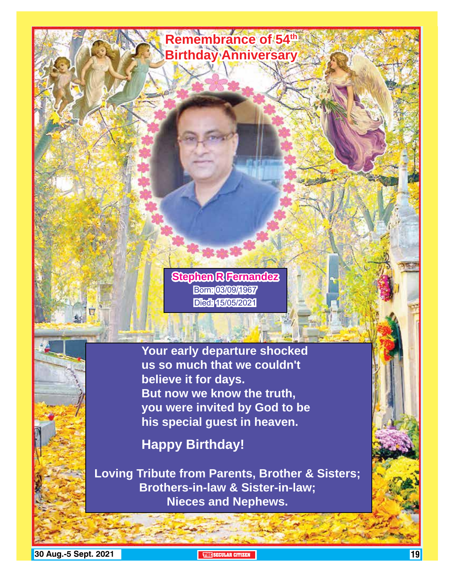

**19 Aug.-5 Sept. 2021 The Security of the Security of The Security of The Security of The Security of The Security of The Security of The Security of The Security of The Security of The Security of The Security of The Se**